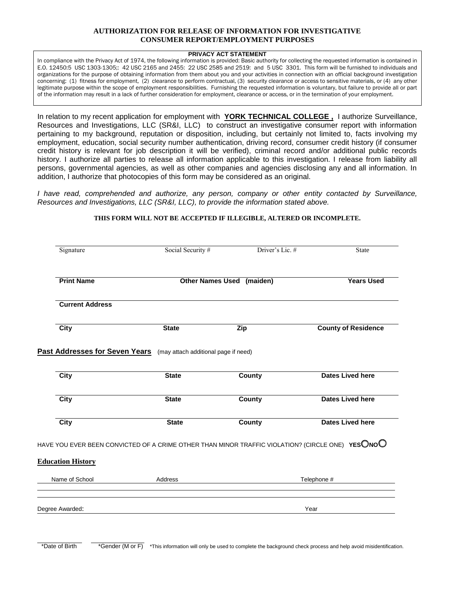## **AUTHORIZATION FOR RELEASE OF INFORMATION FOR INVESTIGATIVE CONSUMER REPORT/EMPLOYMENT PURPOSES**

## **PRIVACY ACT STATEMENT**

In compliance with the Privacy Act of 1974, the following information is provided: Basic authority for collecting the requested information is contained in E.O. 12450:5 USC 1303-1305;: 42 USC 2165 and 2455: 22 USC 2585 and 2519: and 5 USC 3301. This form will be furnished to individuals and organizations for the purpose of obtaining information from them about you and your activities in connection with an official background investigation concerning: (1) fitness for employment, (2) clearance to perform contractual, (3) security clearance or access to sensitive materials, or (4) any other legitimate purpose within the scope of employment responsibilities. Furnishing the requested information is voluntary, but failure to provide all or part of the information may result in a lack of further consideration for employment, clearance or access, or in the termination of your employment.

In relation to my recent application for employment with **YORK TECHNICAL COLLEGE ,** I authorize Surveillance, Resources and Investigations, LLC (SR&I, LLC) to construct an investigative consumer report with information pertaining to my background, reputation or disposition, including, but certainly not limited to, facts involving my employment, education, social security number authentication, driving record, consumer credit history (if consumer credit history is relevant for job description it will be verified), criminal record and/or additional public records history. I authorize all parties to release all information applicable to this investigation. I release from liability all persons, governmental agencies, as well as other companies and agencies disclosing any and all information. In addition, I authorize that photocopies of this form may be considered as an original.

*I have read, comprehended and authorize, any person, company or other entity contacted by Surveillance, Resources and Investigations, LLC (SR&I, LLC), to provide the information stated above.* 

## **THIS FORM WILL NOT BE ACCEPTED IF ILLEGIBLE, ALTERED OR INCOMPLETE.**

| Signature                                  | Social Security #                                                                                | Driver's Lic. #   | <b>State</b>               |  |
|--------------------------------------------|--------------------------------------------------------------------------------------------------|-------------------|----------------------------|--|
| <b>Print Name</b>                          | Other Names Used (maiden)                                                                        | <b>Years Used</b> |                            |  |
| <b>Current Address</b>                     |                                                                                                  |                   |                            |  |
| <b>City</b>                                | <b>State</b>                                                                                     | Zip               | <b>County of Residence</b> |  |
| <b>Past Addresses for Seven Years</b>      | (may attach additional page if need)                                                             |                   |                            |  |
| <b>City</b>                                | <b>State</b>                                                                                     | County            | <b>Dates Lived here</b>    |  |
| <b>City</b>                                | <b>State</b>                                                                                     | <b>County</b>     | <b>Dates Lived here</b>    |  |
| <b>City</b>                                | <b>State</b>                                                                                     | County            | <b>Dates Lived here</b>    |  |
|                                            |                                                                                                  |                   |                            |  |
|                                            | HAVE YOU EVER BEEN CONVICTED OF A CRIME OTHER THAN MINOR TRAFFIC VIOLATION? (CIRCLE ONE) YESONOO |                   |                            |  |
|                                            |                                                                                                  |                   |                            |  |
| <b>Education History</b><br>Name of School | <b>Address</b>                                                                                   |                   | Telephone #                |  |

\*Date of Birth \*Gender (M or F) \*This information will only be used to complete the background check process and help avoid misidentification.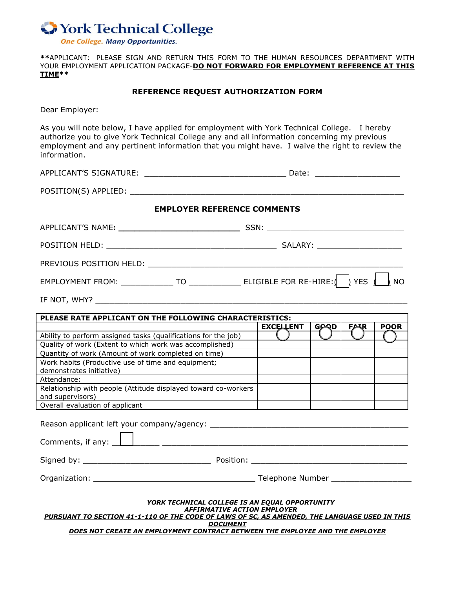

**\*\***APPLICANT: PLEASE SIGN AND RETURN THIS FORM TO THE HUMAN RESOURCES DEPARTMENT WITH YOUR EMPLOYMENT APPLICATION PACKAGE-**DO NOT FORWARD FOR EMPLOYMENT REFERENCE AT THIS TIME\*\***

## **REFERENCE REQUEST AUTHORIZATION FORM**

Dear Employer:

As you will note below, I have applied for employment with York Technical College. I hereby authorize you to give York Technical College any and all information concerning my previous employment and any pertinent information that you might have. I waive the right to review the information.

| <b>EMPLOYER REFERENCE COMMENTS</b>                                                                                                                |                                                        |  |  |  |  |  |  |
|---------------------------------------------------------------------------------------------------------------------------------------------------|--------------------------------------------------------|--|--|--|--|--|--|
|                                                                                                                                                   |                                                        |  |  |  |  |  |  |
|                                                                                                                                                   |                                                        |  |  |  |  |  |  |
|                                                                                                                                                   |                                                        |  |  |  |  |  |  |
| EMPLOYMENT FROM: _______________ TO ________________ ELIGIBLE FOR RE-HIRE: \  \  YES \  \  NO                                                     |                                                        |  |  |  |  |  |  |
|                                                                                                                                                   |                                                        |  |  |  |  |  |  |
| PLEASE RATE APPLICANT ON THE FOLLOWING CHARACTERISTICS:                                                                                           |                                                        |  |  |  |  |  |  |
|                                                                                                                                                   | <b>POOR</b><br><b>EXCELLENT</b><br>GPQD<br><b>FARR</b> |  |  |  |  |  |  |
| Ability to perform assigned tasks (qualifications for the job)                                                                                    |                                                        |  |  |  |  |  |  |
| Quality of work (Extent to which work was accomplished)                                                                                           |                                                        |  |  |  |  |  |  |
| Quantity of work (Amount of work completed on time)                                                                                               |                                                        |  |  |  |  |  |  |
| Work habits (Productive use of time and equipment;                                                                                                |                                                        |  |  |  |  |  |  |
| demonstrates initiative)<br><u> 1980 - Jan James James Barbara, martxa a fizikar a shekara 1980 - 1981 - 1982 - 1982 - 1982 - 1983 - 1984 - 1</u> |                                                        |  |  |  |  |  |  |
| Attendance:                                                                                                                                       |                                                        |  |  |  |  |  |  |
| Relationship with people (Attitude displayed toward co-workers                                                                                    |                                                        |  |  |  |  |  |  |
| and supervisors)                                                                                                                                  |                                                        |  |  |  |  |  |  |
| Overall evaluation of applicant                                                                                                                   |                                                        |  |  |  |  |  |  |
|                                                                                                                                                   |                                                        |  |  |  |  |  |  |
| Comments, if any: 11 12 20 20 20 20 20 21 22 22 23 24 25 26 27 28 29 20 20 21 22 22 23 24 25 26 27 27 27 27 27                                    |                                                        |  |  |  |  |  |  |
|                                                                                                                                                   |                                                        |  |  |  |  |  |  |
|                                                                                                                                                   |                                                        |  |  |  |  |  |  |
|                                                                                                                                                   | YORK TECHNICAL COLLEGE IS AN EQUAL OPPORTUNITY         |  |  |  |  |  |  |

*AFFIRMATIVE ACTION EMPLOYER* 

*PURSUANT TO SECTION 41-1-110 OF THE CODE OF LAWS OF SC, AS AMENDED, THE LANGUAGE USED IN THIS DOCUMENT*

*DOES NOT CREATE AN EMPLOYMENT CONTRACT BETWEEN THE EMPLOYEE AND THE EMPLOYER*